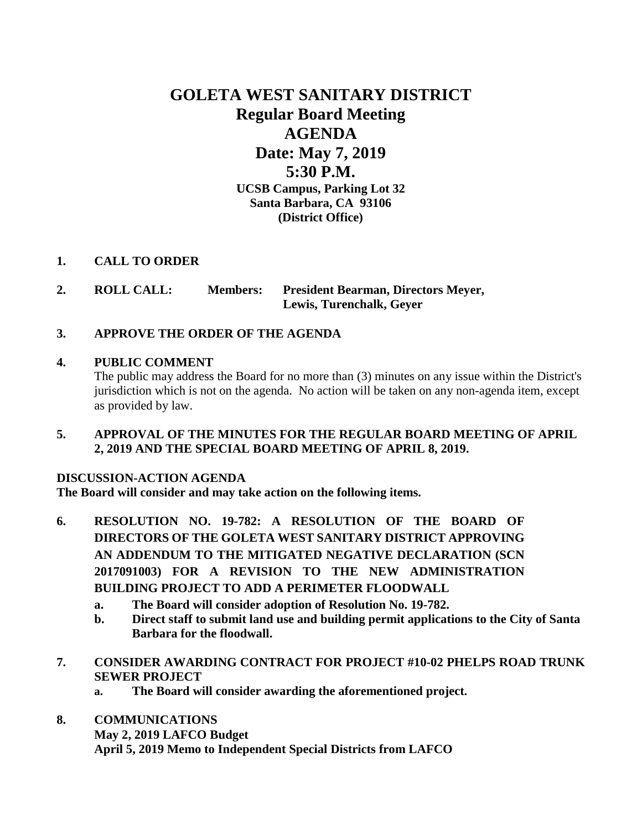# **GOLETA WEST SANITARY DISTRICT Regular Board Meeting AGENDA Date: May 7, 2019 5:30 P.M. UCSB Campus, Parking Lot 32 Santa Barbara, CA 93106 (District Office)**

## **1. CALL TO ORDER**

**2. ROLL CALL: Members: President Bearman, Directors Meyer, Lewis, Turenchalk, Geyer**

# **3. APPROVE THE ORDER OF THE AGENDA**

#### **4. PUBLIC COMMENT**

The public may address the Board for no more than (3) minutes on any issue within the District's jurisdiction which is not on the agenda. No action will be taken on any non-agenda item, except as provided by law.

**5. APPROVAL OF THE MINUTES FOR THE REGULAR BOARD MEETING OF APRIL 2, 2019 AND THE SPECIAL BOARD MEETING OF APRIL 8, 2019.**

#### **DISCUSSION-ACTION AGENDA**

**The Board will consider and may take action on the following items.**

- **6. RESOLUTION NO. 19-782: A RESOLUTION OF THE BOARD OF DIRECTORS OF THE GOLETA WEST SANITARY DISTRICT APPROVING AN ADDENDUM TO THE MITIGATED NEGATIVE DECLARATION (SCN 2017091003) FOR A REVISION TO THE NEW ADMINISTRATION BUILDING PROJECT TO ADD A PERIMETER FLOODWALL**
	- **a. The Board will consider adoption of Resolution No. 19-782.**
	- **b. Direct staff to submit land use and building permit applications to the City of Santa Barbara for the floodwall.**
- **7. CONSIDER AWARDING CONTRACT FOR PROJECT #10-02 PHELPS ROAD TRUNK SEWER PROJECT**
	- **a. The Board will consider awarding the aforementioned project.**
- **8. COMMUNICATIONS May 2, 2019 LAFCO Budget April 5, 2019 Memo to Independent Special Districts from LAFCO**